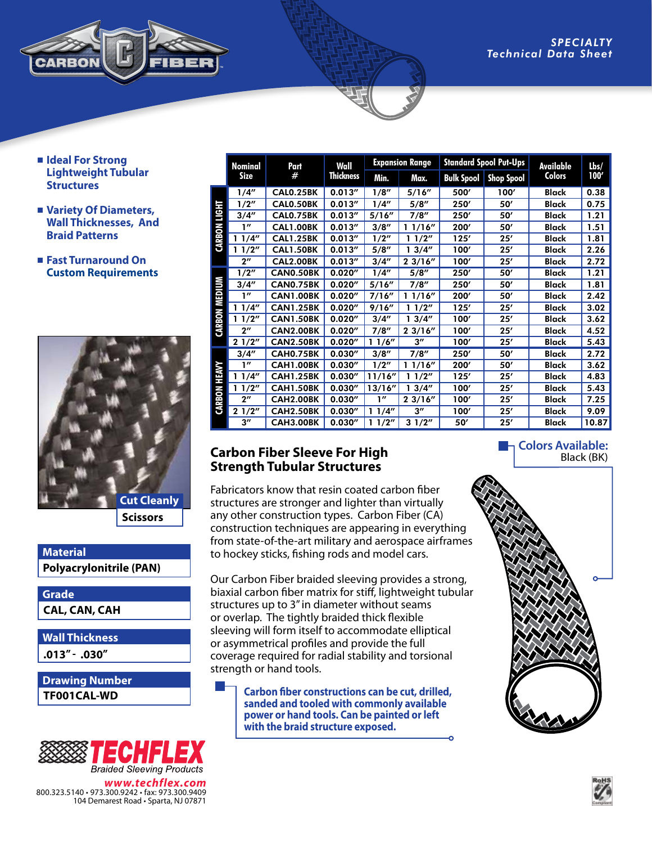

- Ideal For Strong **Lightweight Tubular Structures**
- **Variety Of Diameters, Wall Thicknesses, And Braid Patterns**
- **Fast Turnaround On Custom Requirements**



**Polyacrylonitrile (PAN) Material**

**CAL, CAN, CAH Grade**

## **Wall Thickness**

**.013" - .030"**

**TF001CAL-WD Drawing Number**



*www.techflex.com* 800.323.5140 • 973.300.9242 • fax: 973.300.9409 104 Demarest Road • Sparta, NJ 07871

|                      | Nominal<br>Size    | Part<br>#        | Wall<br><b>Thickness</b> | <b>Expansion Range</b> |                    | <b>Standard Spool Put-Ups</b> |                   | Available    | $l$ bs/ |
|----------------------|--------------------|------------------|--------------------------|------------------------|--------------------|-------------------------------|-------------------|--------------|---------|
|                      |                    |                  |                          | Min.                   | Max.               | <b>Bulk Spool</b>             | <b>Shop Spool</b> | Colors       | 100'    |
| лент<br>CARBON       | 1/4"               | CALO.25BK        | 0.013''                  | 1/8"                   | 5/16''             | 500'                          | 100'              | Black        | 0.38    |
|                      | 1/2"               | CALO.50BK        | 0.013''                  | 1/4"                   | 5/8"               | 250'                          | 50'               | Black        | 0.75    |
|                      | 3/4''              | CALO.75BK        | 0.013''                  | 5/16''                 | 7/8''              | 250'                          | 50'               | Black        | 1.21    |
|                      | 1''                | CAL1.00BK        | 0.013''                  | 3/8''                  | 11/16''            | 200'                          | 50'               | Black        | 1.51    |
|                      | 11/4"              | <b>CAL1.25BK</b> | 0.013''                  | 1/2"                   | 11/2"              | 125'                          | 25'               | Black        | 1.81    |
|                      | 11/2"              | <b>CAL1.50BK</b> | 0.013''                  | 5/8''                  | 13/4''             | 100'                          | 25'               | Black        | 2.26    |
|                      | $2^{\prime\prime}$ | <b>CAL2.00BK</b> | 0.013''                  | 3/4''                  | 23/16''            | 100'                          | 25'               | Black        | 2.72    |
| <b>CARBON MEDIUM</b> | 1/2"               | CAN0.50BK        | 0.020''                  | 1/4"                   | 5/8''              | 250'                          | 50'               | Black        | 1.21    |
|                      | 3/4''              | CAN0.75BK        | 0.020''                  | 5/16''                 | 7/8"               | 250'                          | 50'               | <b>Black</b> | 1.81    |
|                      | 1''                | CAN1.00BK        | 0.020''                  | 7/16''                 | 11/16''            | 200'                          | 50'               | Black        | 2.42    |
|                      | 11/4"              | <b>CAN1.25BK</b> | 0.020''                  | 9/16''                 | 11/2"              | 125'                          | 25'               | Black        | 3.02    |
|                      | 11/2"              | <b>CAN1.50BK</b> | 0.020''                  | 3/4''                  | 13/4''             | 100'                          | 25'               | Black        | 3.62    |
|                      | $2^{\prime\prime}$ | <b>CAN2.00BK</b> | 0.020''                  | 7/8"                   | 23/16''            | 100'                          | 25'               | Black        | 4.52    |
|                      | 21/2"              | <b>CAN2.50BK</b> | 0.020''                  | 1/6''                  | $3^{\prime\prime}$ | 100'                          | 25'               | <b>Black</b> | 5.43    |
| <b>CARBON HEAVY</b>  | 3/4''              | CAHO.75BK        | 0.030''                  | 3/8''                  | 7/8"               | 250'                          | 50'               | Black        | 2.72    |
|                      | 1''                | CAH1.00BK        | 0.030''                  | 1/2"                   | 11/16''            | 200'                          | 50'               | Black        | 3.62    |
|                      | 11/4"              | <b>CAH1.25BK</b> | 0.030''                  | 11/16''                | 11/2"              | 125'                          | 25'               | Black        | 4.83    |
|                      | 11/2"              | <b>CAH1.50BK</b> | 0.030''                  | 13/16''                | 13/4''             | 100'                          | 25'               | Black        | 5.43    |
|                      | $2^{\prime\prime}$ | <b>CAH2.00BK</b> | 0.030''                  | 1''                    | 23/16''            | 100'                          | 25'               | <b>Black</b> | 7.25    |
|                      | 21/2"              | CAH2.50BK        | 0.030''                  | 11/4"                  | $3^{\prime\prime}$ | 100'                          | 25'               | Black        | 9.09    |
|                      | $3^{\prime\prime}$ | <b>CAH3.00BK</b> | 0.030''                  | 11/2"                  | 31/2"              | 50′                           | 25'               | Black        | 10.87   |

## **Carbon Fiber Sleeve For High Strength Tubular Structures**

Fabricators know that resin coated carbon fiber structures are stronger and lighter than virtually any other construction types. Carbon Fiber (CA) construction techniques are appearing in everything from state-of-the-art military and aerospace airframes to hockey sticks, fishing rods and model cars.

Our Carbon Fiber braided sleeving provides a strong, biaxial carbon fiber matrix for stiff, lightweight tubular structures up to 3" in diameter without seams or overlap. The tightly braided thick flexible sleeving will form itself to accommodate elliptical or asymmetrical profiles and provide the full coverage required for radial stability and torsional strength or hand tools.

**Carbon fiber constructions can be cut, drilled, sanded and tooled with commonly available power or hand tools. Can be painted or left with the braid structure exposed.**

## **Colors Available:**  Black (BK)